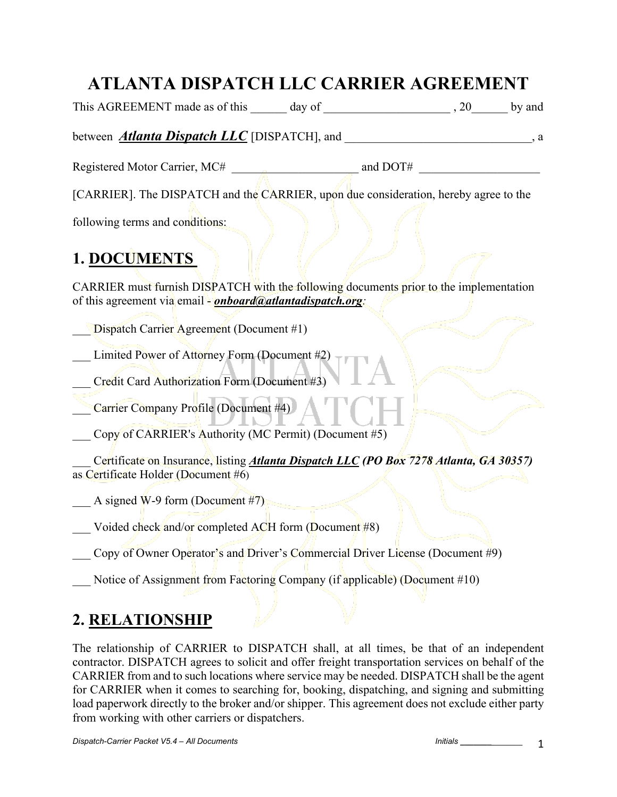## **ATLANTA DISPATCH LLC CARRIER AGREEMENT**

|                                                                                                                                                                                                                                                                                                                                                                                                                                                                                                  |  | , a |
|--------------------------------------------------------------------------------------------------------------------------------------------------------------------------------------------------------------------------------------------------------------------------------------------------------------------------------------------------------------------------------------------------------------------------------------------------------------------------------------------------|--|-----|
|                                                                                                                                                                                                                                                                                                                                                                                                                                                                                                  |  |     |
| [CARRIER]. The DISPATCH and the CARRIER, upon due consideration, hereby agree to the                                                                                                                                                                                                                                                                                                                                                                                                             |  |     |
| following terms and conditions:                                                                                                                                                                                                                                                                                                                                                                                                                                                                  |  |     |
| <b>1. DOCUMENTS</b>                                                                                                                                                                                                                                                                                                                                                                                                                                                                              |  |     |
| CARRIER must furnish DISPATCH with the following documents prior to the implementation<br>of this agreement via email - <i>onboard@atlantadispatch.org</i> :                                                                                                                                                                                                                                                                                                                                     |  |     |
| Dispatch Carrier Agreement (Document #1)                                                                                                                                                                                                                                                                                                                                                                                                                                                         |  |     |
| Limited Power of Attorney Form (Document #2)<br>Credit Card Authorization Form (Document #3)                                                                                                                                                                                                                                                                                                                                                                                                     |  |     |
| Carrier Company Profile (Document #4)                                                                                                                                                                                                                                                                                                                                                                                                                                                            |  |     |
| Copy of CARRIER's Authority (MC Permit) (Document #5)                                                                                                                                                                                                                                                                                                                                                                                                                                            |  |     |
| Certificate on Insurance, listing <i>Atlanta Dispatch LLC (PO Box 7278 Atlanta, GA 30357)</i><br>as Certificate Holder (Document #6)                                                                                                                                                                                                                                                                                                                                                             |  |     |
| A signed W-9 form (Document $#7$ )                                                                                                                                                                                                                                                                                                                                                                                                                                                               |  |     |
| Voided check and/or completed ACH form (Document #8)                                                                                                                                                                                                                                                                                                                                                                                                                                             |  |     |
| Copy of Owner Operator's and Driver's Commercial Driver License (Document #9)                                                                                                                                                                                                                                                                                                                                                                                                                    |  |     |
| Notice of Assignment from Factoring Company (if applicable) (Document #10)                                                                                                                                                                                                                                                                                                                                                                                                                       |  |     |
| 2. RELATIONSHIP                                                                                                                                                                                                                                                                                                                                                                                                                                                                                  |  |     |
| The relationship of CARRIER to DISPATCH shall, at all times, be that of an independent<br>contractor. DISPATCH agrees to solicit and offer freight transportation services on behalf of the<br>CARRIER from and to such locations where service may be needed. DISPATCH shall be the agent<br>for CARRIER when it comes to searching for, booking, dispatching, and signing and submitting<br>load paperwork directly to the broker and/or shipper. This agreement does not exclude either party |  |     |

from working with other carriers or dispatchers.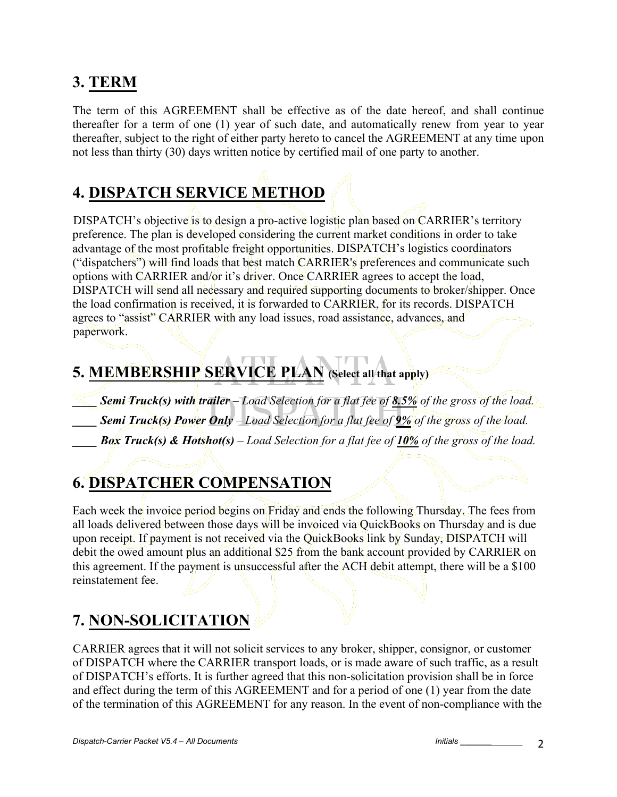### **3. TERM**

The term of this AGREEMENT shall be effective as of the date hereof, and shall continue thereafter for a term of one (1) year of such date, and automatically renew from year to year thereafter, subject to the right of either party hereto to cancel the AGREEMENT at any time upon not less than thirty (30) days written notice by certified mail of one party to another.

# **4. DISPATCH SERVICE METHOD**

DISPATCH's objective is to design a pro-active logistic plan based on CARRIER's territory preference. The plan is developed considering the current market conditions in order to take advantage of the most profitable freight opportunities. DISPATCH's logistics coordinators ("dispatchers") will find loads that best match CARRIER's preferences and communicate such options with CARRIER and/or it's driver. Once CARRIER agrees to accept the load, DISPATCH will send all necessary and required supporting documents to broker/shipper. Once the load confirmation is received, it is forwarded to CARRIER, for its records. DISPATCH agrees to "assist" CARRIER with any load issues, road assistance, advances, and paperwork.

## **5. MEMBERSHIP SERVICE PLAN (Select all that apply)**

*\_\_\_\_ Semi Truck(s) with trailer – Load Selection for a flat fee of 8.5% of the gross of the load. \_\_\_\_ Semi Truck(s) Power Only – Load Selection for a flat fee of 9% of the gross of the load. \_\_\_\_ Box Truck(s) & Hotshot(s) – Load Selection for a flat fee of 10% of the gross of the load.* 

## **6. DISPATCHER COMPENSATION**

Each week the invoice period begins on Friday and ends the following Thursday. The fees from all loads delivered between those days will be invoiced via QuickBooks on Thursday and is due upon receipt. If payment is not received via the QuickBooks link by Sunday, DISPATCH will debit the owed amount plus an additional \$25 from the bank account provided by CARRIER on this agreement. If the payment is unsuccessful after the ACH debit attempt, there will be a \$100 reinstatement fee.

### **7. NON-SOLICITATION**

CARRIER agrees that it will not solicit services to any broker, shipper, consignor, or customer of DISPATCH where the CARRIER transport loads, or is made aware of such traffic, as a result of DISPATCH's efforts. It is further agreed that this non-solicitation provision shall be in force and effect during the term of this AGREEMENT and for a period of one (1) year from the date of the termination of this AGREEMENT for any reason. In the event of non-compliance with the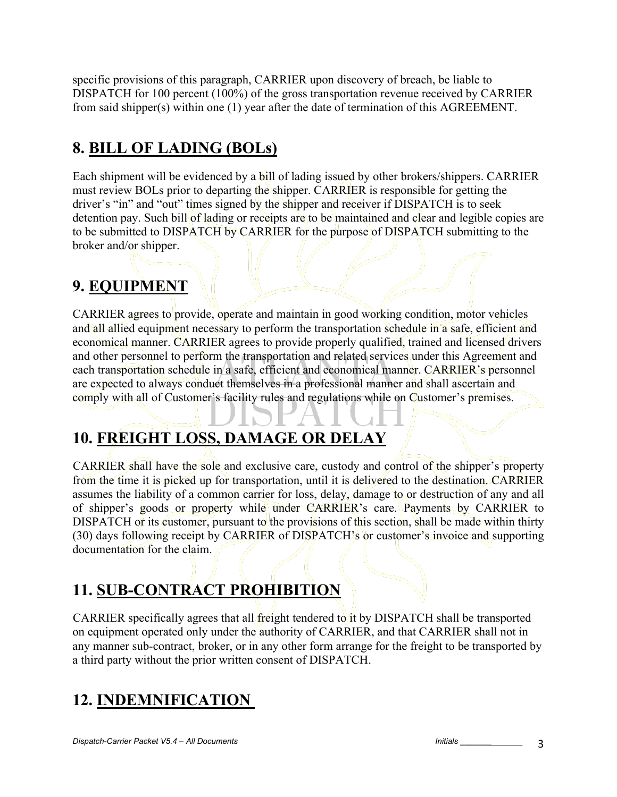specific provisions of this paragraph, CARRIER upon discovery of breach, be liable to DISPATCH for 100 percent (100%) of the gross transportation revenue received by CARRIER from said shipper(s) within one (1) year after the date of termination of this AGREEMENT.

## **8. BILL OF LADING (BOLs)**

Each shipment will be evidenced by a bill of lading issued by other brokers/shippers. CARRIER must review BOLs prior to departing the shipper. CARRIER is responsible for getting the driver's "in" and "out" times signed by the shipper and receiver if DISPATCH is to seek detention pay. Such bill of lading or receipts are to be maintained and clear and legible copies are to be submitted to DISPATCH by CARRIER for the purpose of DISPATCH submitting to the broker and/or shipper.

### **9. EQUIPMENT**

CARRIER agrees to provide, operate and maintain in good working condition, motor vehicles and all allied equipment necessary to perform the transportation schedule in a safe, efficient and economical manner. CARRIER agrees to provide properly qualified, trained and licensed drivers and other personnel to perform the transportation and related services under this Agreement and each transportation schedule in a safe, efficient and economical manner. CARRIER's personnel are expected to always conduct themselves in a professional manner and shall ascertain and comply with all of Customer's facility rules and regulations while on Customer's premises.

## **10. FREIGHT LOSS, DAMAGE OR DELAY**

CARRIER shall have the sole and exclusive care, custody and control of the shipper's property from the time it is picked up for transportation, until it is delivered to the destination. CARRIER assumes the liability of a common carrier for loss, delay, damage to or destruction of any and all of shipper's goods or property while under CARRIER's care. Payments by CARRIER to DISPATCH or its customer, pursuant to the provisions of this section, shall be made within thirty (30) days following receipt by CARRIER of DISPATCH's or customer's invoice and supporting documentation for the claim.

### **11. SUB-CONTRACT PROHIBITION**

CARRIER specifically agrees that all freight tendered to it by DISPATCH shall be transported on equipment operated only under the authority of CARRIER, and that CARRIER shall not in any manner sub-contract, broker, or in any other form arrange for the freight to be transported by a third party without the prior written consent of DISPATCH.

### **12. INDEMNIFICATION**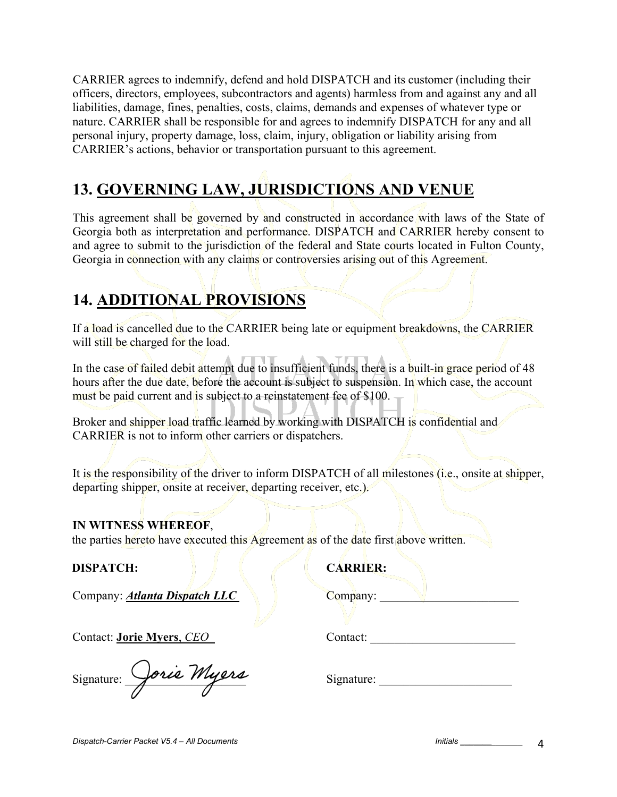CARRIER agrees to indemnify, defend and hold DISPATCH and its customer (including their officers, directors, employees, subcontractors and agents) harmless from and against any and all liabilities, damage, fines, penalties, costs, claims, demands and expenses of whatever type or nature. CARRIER shall be responsible for and agrees to indemnify DISPATCH for any and all personal injury, property damage, loss, claim, injury, obligation or liability arising from CARRIER's actions, behavior or transportation pursuant to this agreement.

# **13. GOVERNING LAW, JURISDICTIONS AND VENUE**

This agreement shall be governed by and constructed in accordance with laws of the State of Georgia both as interpretation and performance. DISPATCH and CARRIER hereby consent to and agree to submit to the jurisdiction of the federal and State courts located in Fulton County, Georgia in connection with any claims or controversies arising out of this Agreement.

### **14. ADDITIONAL PROVISIONS**

If a load is cancelled due to the CARRIER being late or equipment breakdowns, the CARRIER will still be charged for the load.

In the case of failed debit attempt due to insufficient funds, there is a built-in grace period of 48 hours after the due date, before the account is subject to suspension. In which case, the account must be paid current and is subject to a reinstatement fee of \$100.

Broker and shipper load traffic learned by working with DISPATCH is confidential and CARRIER is not to inform other carriers or dispatchers.

It is the responsibility of the driver to inform DISPATCH of all milestones (i.e., onsite at shipper, departing shipper, onsite at receiver, departing receiver, etc.).

#### **IN WITNESS WHEREOF**,

the parties hereto have executed this Agreement as of the date first above written.

#### **DISPATCH: CARRIER:**

Company: *Atlanta Dispatch LLC* Company:

Contact: **Jorie Myers**, *CEO* Contact: \_\_\_\_\_\_\_\_\_\_\_\_\_\_\_\_\_\_\_\_\_\_\_\_

| Signature: | Lorie Myers |
|------------|-------------|
|            |             |

Signature: \_\_\_\_\_\_\_\_\_\_\_\_\_\_\_\_\_\_\_\_ Signature: \_\_\_\_\_\_\_\_\_\_\_\_\_\_\_\_\_\_\_\_\_\_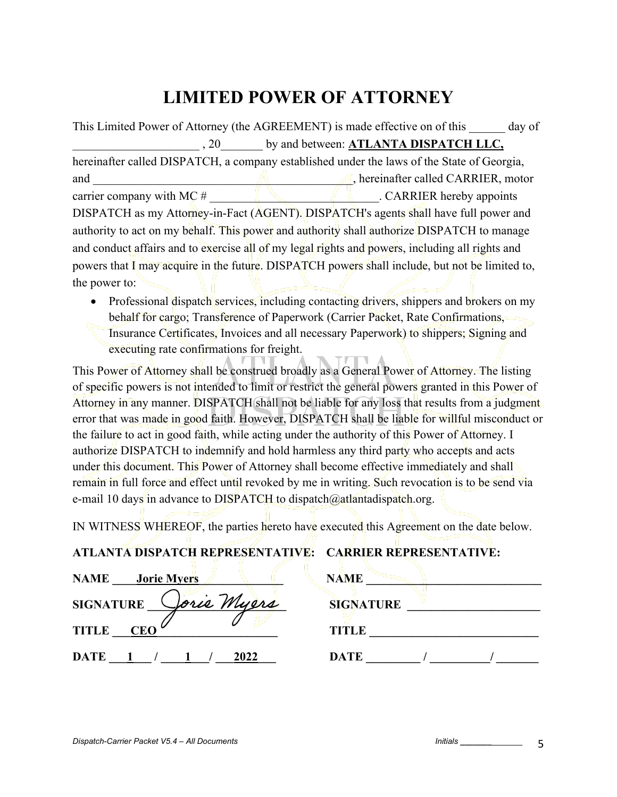## **LIMITED POWER OF ATTORNEY**

|                             | This Limited Power of Attorney (the AGREEMENT) is made effective on of this<br>day of           |
|-----------------------------|-------------------------------------------------------------------------------------------------|
| , 20                        | by and between: ATLANTA DISPATCH LLC,                                                           |
|                             | hereinafter called DISPATCH, a company established under the laws of the State of Georgia,      |
| and                         | , hereinafter called CARRIER, motor                                                             |
| carrier company with MC $#$ | . CARRIER hereby appoints                                                                       |
|                             | DISPATCH as my Attorney-in-Fact (AGENT). DISPATCH's agents shall have full power and            |
|                             | authority to act on my behalf. This power and authority shall authorize DISPATCH to manage      |
|                             | and conduct affairs and to exercise all of my legal rights and powers, including all rights and |
|                             | powers that I may acquire in the future. DISPATCH powers shall include, but not be limited to,  |
| the power to:               |                                                                                                 |
|                             |                                                                                                 |

• Professional dispatch services, including contacting drivers, shippers and brokers on my behalf for cargo; Transference of Paperwork (Carrier Packet, Rate Confirmations, Insurance Certificates, Invoices and all necessary Paperwork) to shippers; Signing and executing rate confirmations for freight.

This Power of Attorney shall be construed broadly as a General Power of Attorney. The listing of specific powers is not intended to limit or restrict the general powers granted in this Power of Attorney in any manner. DISPATCH shall not be liable for any loss that results from a judgment error that was made in good faith. However, DISPATCH shall be liable for willful misconduct or the failure to act in good faith, while acting under the authority of this Power of Attorney. I authorize DISPATCH to indemnify and hold harmless any third party who accepts and acts under this document. This Power of Attorney shall become effective immediately and shall remain in full force and effect until revoked by me in writing. Such revocation is to be send via e-mail 10 days in advance to DISPATCH to dispatch@atlantadispatch.org.

IN WITNESS WHEREOF, the parties hereto have executed this Agreement on the date below.

**ATLANTA DISPATCH REPRESENTATIVE: CARRIER REPRESENTATIVE:** 

| AILANIA DISPATCH REPRESENTATIVE: - CARRIER REPRESENTATIVE: |                  |
|------------------------------------------------------------|------------------|
| <b>NAME</b><br>Jorie Myers                                 | <b>NAME</b>      |
| Jorie Myers<br><b>SIGNATURE</b>                            | <b>SIGNATURE</b> |
| <b>TITLE</b><br><b>CEO</b>                                 | <b>TITLE</b>     |
| DATE 1 / 1 /<br>2022                                       | <b>DATE</b>      |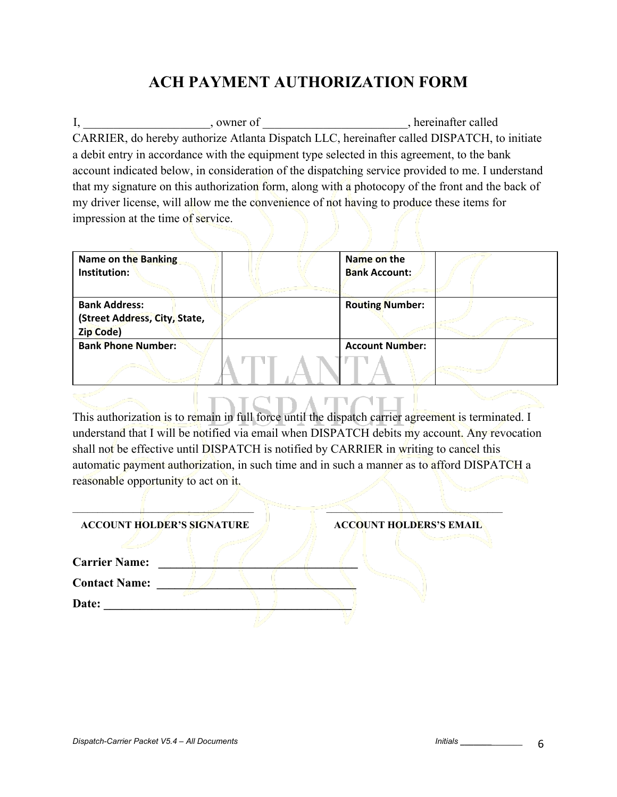### **ACH PAYMENT AUTHORIZATION FORM**

I, where of the state of the state of  $\Box$ CARRIER, do hereby authorize Atlanta Dispatch LLC, hereinafter called DISPATCH, to initiate a debit entry in accordance with the equipment type selected in this agreement, to the bank account indicated below, in consideration of the dispatching service provided to me. I understand that my signature on this authorization form, along with a photocopy of the front and the back of my driver license, will allow me the convenience of not having to produce these items for impression at the time of service.

| Name on the Banking<br>Institution:                                | Name on the<br><b>Bank Account:</b> |  |
|--------------------------------------------------------------------|-------------------------------------|--|
| <b>Bank Address:</b><br>(Street Address, City, State,<br>Zip Code) | <b>Routing Number:</b>              |  |
| <b>Bank Phone Number:</b>                                          | <b>Account Number:</b>              |  |

This authorization is to remain in full force until the dispatch carrier agreement is terminated. I understand that I will be notified via email when DISPATCH debits my account. Any revocation shall not be effective until DISPATCH is notified by CARRIER in writing to cancel this automatic payment authorization, in such time and in such a manner as to afford DISPATCH a reasonable opportunity to act on it.

| <b>ACCOUNT HOLDER'S SIGNATURE</b> |  | <b>ACCOUNT HOLDERS'S EMAIL</b> |  |
|-----------------------------------|--|--------------------------------|--|
|                                   |  |                                |  |
| <b>Carrier Name:</b>              |  |                                |  |
| <b>Contact Name:</b>              |  |                                |  |
| Date:                             |  |                                |  |
|                                   |  |                                |  |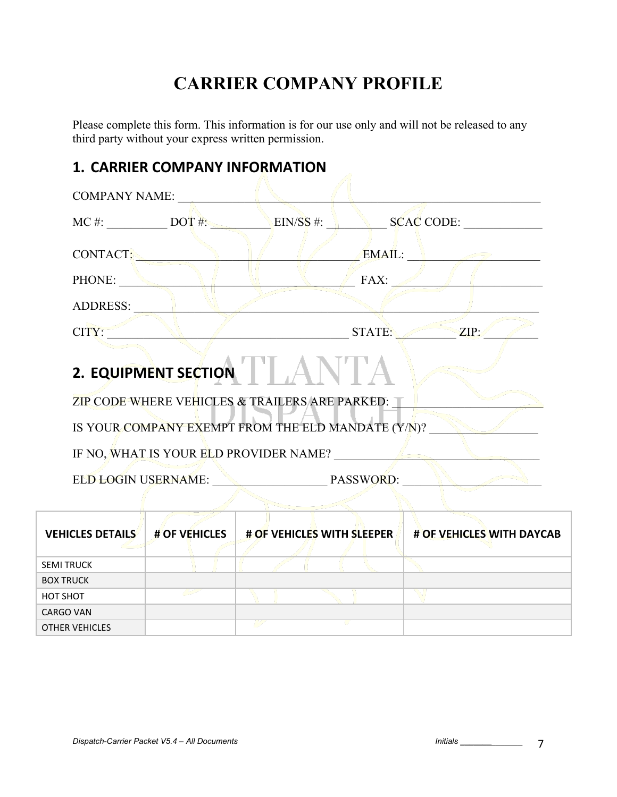# **CARRIER COMPANY PROFILE**

Please complete this form. This information is for our use only and will not be released to any third party without your express written permission.

# **1. CARRIER COMPANY INFORMATION**  COMPANY NAME:  $\text{MC } \#$ :  $\text{DOT } \#$ :  $\text{EIN/SS } \#$ :  $\text{SCAC } \text{CODE:}$ CONTACT: EMAIL: PHONE: The set of the set of the set of the set of the set of the set of the set of the set of the set of the set of the set of the set of the set of the set of the set of the set of the set of the set of the set of the se ADDRESS: \_\_\_\_\_\_\_\_\_\_\_\_\_\_\_\_\_\_\_\_\_\_\_\_\_\_\_\_\_\_\_\_\_\_\_\_\_\_\_\_\_\_\_\_\_\_\_\_\_\_\_\_\_\_\_\_\_\_\_\_\_\_\_\_\_\_\_  $CITY:$   $STATE:$   $ZIP:$ **2. EQUIPMENT SECTION**  ZIP CODE WHERE VEHICLES & TRAILERS ARE PARKED: IS YOUR COMPANY EXEMPT FROM THE ELD MANDATE (Y/N)? IF NO, WHAT IS YOUR ELD PROVIDER NAME? ELD LOGIN USERNAME: \_\_\_\_\_\_\_\_\_\_\_\_\_\_\_\_\_\_\_ PASSWORD: \_\_\_\_\_\_\_\_\_\_\_\_\_\_\_\_\_\_\_\_\_\_\_ **VEHICLES DETAILS # OF VEHICLES # OF VEHICLES WITH SLEEPER # OF VEHICLES WITH DAYCAB** SEMI TRUCK BOX TRUCK HOT SHOT  $\mathbb{R}^2$ H CARGO VAN U OTHER VEHICLES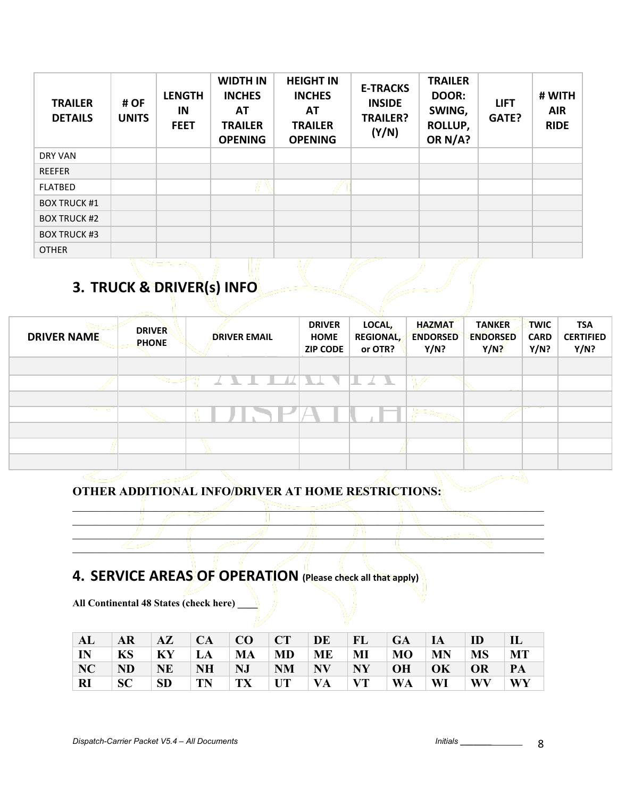| <b>TRAILER</b><br><b>DETAILS</b> | # OF<br><b>UNITS</b> | <b>LENGTH</b><br>IN<br><b>FEET</b> | <b>WIDTH IN</b><br><b>INCHES</b><br><b>AT</b><br><b>TRAILER</b><br><b>OPENING</b> | <b>HEIGHT IN</b><br><b>INCHES</b><br>AT<br><b>TRAILER</b><br><b>OPENING</b> | <b>E-TRACKS</b><br><b>INSIDE</b><br><b>TRAILER?</b><br>(Y/N) | <b>TRAILER</b><br>DOOR:<br>SWING,<br>ROLLUP,<br>OR N/A? | <b>LIFT</b><br>GATE? | # WITH<br><b>AIR</b><br><b>RIDE</b> |
|----------------------------------|----------------------|------------------------------------|-----------------------------------------------------------------------------------|-----------------------------------------------------------------------------|--------------------------------------------------------------|---------------------------------------------------------|----------------------|-------------------------------------|
| DRY VAN                          |                      |                                    |                                                                                   |                                                                             |                                                              |                                                         |                      |                                     |
| <b>REEFER</b>                    |                      |                                    |                                                                                   |                                                                             |                                                              |                                                         |                      |                                     |
| <b>FLATBED</b>                   |                      |                                    |                                                                                   |                                                                             |                                                              |                                                         |                      |                                     |
| <b>BOX TRUCK #1</b>              |                      |                                    |                                                                                   |                                                                             |                                                              |                                                         |                      |                                     |
| <b>BOX TRUCK #2</b>              |                      |                                    |                                                                                   |                                                                             |                                                              |                                                         |                      |                                     |
| <b>BOX TRUCK #3</b>              |                      |                                    |                                                                                   |                                                                             |                                                              |                                                         |                      |                                     |
| <b>OTHER</b>                     |                      |                                    |                                                                                   |                                                                             |                                                              |                                                         |                      |                                     |

# **3. TRUCK & DRIVER(s) INFO**

Ú

| <b>DRIVER NAME</b> | <b>DRIVER</b><br><b>PHONE</b> | <b>DRIVER EMAIL</b> | <b>DRIVER</b><br><b>HOME</b><br><b>ZIP CODE</b> | LOCAL,<br><b>REGIONAL,</b><br>or OTR? | <b>HAZMAT</b><br><b>ENDORSED</b><br>Y/N? | <b>TANKER</b><br><b>ENDORSED</b><br>$Y/N$ ? | <b>TWIC</b><br><b>CARD</b><br>Y/N? | <b>TSA</b><br><b>CERTIFIED</b><br>Y/N? |
|--------------------|-------------------------------|---------------------|-------------------------------------------------|---------------------------------------|------------------------------------------|---------------------------------------------|------------------------------------|----------------------------------------|
|                    |                               |                     |                                                 |                                       |                                          |                                             |                                    |                                        |
|                    | يستعيد                        | -11                 | ₹.                                              | $\perp$<br>$ \mathbf{X}$ $\mathbf{X}$ |                                          |                                             |                                    |                                        |
|                    |                               |                     |                                                 |                                       |                                          |                                             |                                    |                                        |
| المحاسب أسامته     |                               |                     |                                                 |                                       |                                          |                                             |                                    |                                        |
|                    |                               |                     |                                                 |                                       |                                          |                                             |                                    |                                        |
|                    |                               |                     |                                                 |                                       |                                          |                                             |                                    |                                        |
|                    |                               |                     |                                                 |                                       |                                          |                                             |                                    |                                        |
|                    |                               |                     |                                                 |                                       |                                          |                                             |                                    |                                        |

 $\blacksquare$  $\Box$  $\mathbb{Z}$  , and the contract of  $\mathbb{Z}$  , and  $\mathbb{Z}$  , and  $\mathbb{Z}$  , and  $\mathbb{Z}$  , and  $\mathbb{Z}$  $\blacksquare$ 

#### **OTHER ADDITIONAL INFO/DRIVER AT HOME RESTRICTIONS:**

### **4. SERVICE AREAS OF OPERATION (Please check all that apply)**

**All Continental 48 States (check here) \_\_\_\_**

| AL        | <b>AR</b> | $A\mathbf{Z}$ | <b>CA</b> | CO | $\top$ CT | DE        | FL               | GA \      | $\overline{A}$           | ID        |    |
|-----------|-----------|---------------|-----------|----|-----------|-----------|------------------|-----------|--------------------------|-----------|----|
| IN        | <b>KS</b> | KY            | LA        | MA | MD        | ME        | MI               | MO        | <b>MN</b>                | <b>MS</b> | MT |
| NC        | <b>ND</b> | <b>NE</b>     | <b>NH</b> | NJ | <b>NM</b> | <b>NV</b> | $\mid$ NY $\mid$ | OH        | $\overline{\textbf{OK}}$ | OR        | PA |
| <b>RI</b> | <b>SC</b> | <b>SD</b>     | <b>TN</b> | TX | UT        | VA        | $\mathbf{V}$     | <b>WA</b> | WI                       | WV        | WY |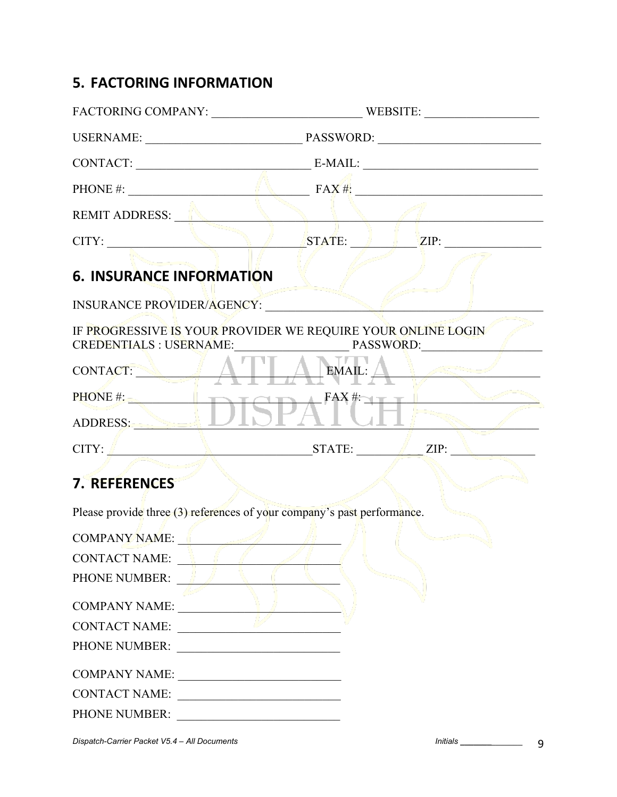### **5. FACTORING INFORMATION**

|                                                                                                   | CONTACT: E-MAIL:                                   |
|---------------------------------------------------------------------------------------------------|----------------------------------------------------|
|                                                                                                   | PHONE #: $\qquad \qquad$ $FAX#$ :                  |
| REMIT ADDRESS:                                                                                    |                                                    |
| CITY:                                                                                             | ZIP:<br>$\sqrt{\text{STATE:}}$                     |
| <b>6. INSURANCE INFORMATION</b>                                                                   |                                                    |
| INSURANCE PROVIDER/AGENCY:                                                                        |                                                    |
| IF PROGRESSIVE IS YOUR PROVIDER WE REQUIRE YOUR ONLINE LOGIN<br>CREDENTIALS : USERNAME: PASSWORD: |                                                    |
| CONTACT: A' V                                                                                     | EMAIL:                                             |
| PHONE #:<br>ADDRESS: DISPA <sup>FAX #:</sup>                                                      |                                                    |
|                                                                                                   |                                                    |
|                                                                                                   | $CITY: \n\[\Box$ $STATE: \n\[\Box$ $ZIP: \n\[\Box$ |
| 7. REFERENCES                                                                                     |                                                    |
| Please provide three (3) references of your company's past performance.                           |                                                    |
| COMPANY NAME:                                                                                     |                                                    |
| <b>CONTACT NAME:</b>                                                                              |                                                    |
| PHONE NUMBER:                                                                                     |                                                    |
| COMPANY NAME:                                                                                     |                                                    |
| <b>CONTACT NAME:</b>                                                                              |                                                    |
|                                                                                                   |                                                    |
| COMPANY NAME:                                                                                     |                                                    |
| CONTACT NAME:                                                                                     |                                                    |
| PHONE NUMBER:                                                                                     |                                                    |